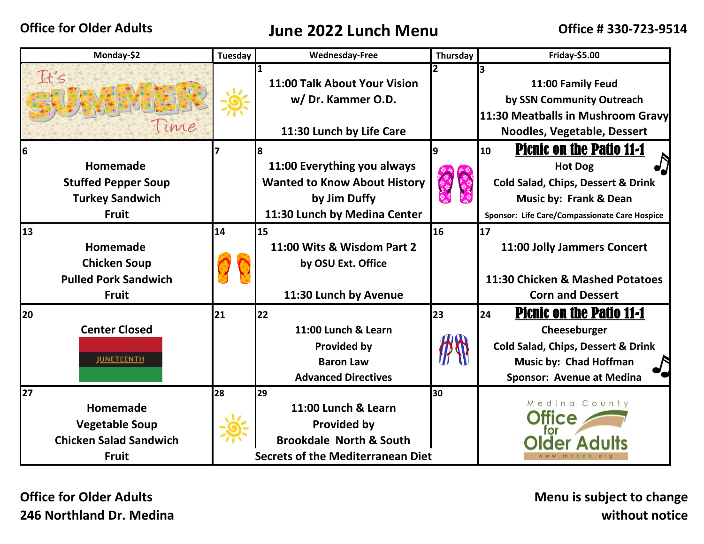## **Office for Older Adults June 2022 Lunch Menu Office # 330-723-9514**

| Monday-\$2                                                                               | <b>Tuesday</b> | <b>Wednesday-Free</b>                                                                                                             | Thursday | Friday-\$5.00                                                                                                                                                                                  |
|------------------------------------------------------------------------------------------|----------------|-----------------------------------------------------------------------------------------------------------------------------------|----------|------------------------------------------------------------------------------------------------------------------------------------------------------------------------------------------------|
| It's<br>lime                                                                             |                | 11:00 Talk About Your Vision<br>w/Dr. Kammer O.D.                                                                                 |          | 3<br>11:00 Family Feud<br>by SSN Community Outreach                                                                                                                                            |
|                                                                                          |                | 11:30 Lunch by Life Care                                                                                                          |          | 11:30 Meatballs in Mushroom Gravy<br>Noodles, Vegetable, Dessert                                                                                                                               |
| l6<br>Homemade<br><b>Stuffed Pepper Soup</b><br><b>Turkey Sandwich</b><br><b>Fruit</b>   |                | 11:00 Everything you always<br><b>Wanted to Know About History</b><br>by Jim Duffy<br>11:30 Lunch by Medina Center                |          | <b>Picnic on the Patio 11-1</b><br>10<br><b>Hot Dog</b><br><b>Cold Salad, Chips, Dessert &amp; Drink</b><br><b>Music by: Frank &amp; Dean</b><br>Sponsor: Life Care/Compassionate Care Hospice |
| 13<br>Homemade<br><b>Chicken Soup</b><br><b>Pulled Pork Sandwich</b><br><b>Fruit</b>     | 14             | 15<br>11:00 Wits & Wisdom Part 2<br>by OSU Ext. Office<br>11:30 Lunch by Avenue                                                   | 16       | 17<br>11:00 Jolly Jammers Concert<br>11:30 Chicken & Mashed Potatoes<br><b>Corn and Dessert</b>                                                                                                |
| 20<br><b>Center Closed</b><br><b>JUNETEENTH</b>                                          | 21             | 22<br>11:00 Lunch & Learn<br><b>Provided by</b><br><b>Baron Law</b><br><b>Advanced Directives</b>                                 | 23       | <b>Picnic on the Patio 11-1</b><br>24<br>Cheeseburger<br><b>Cold Salad, Chips, Dessert &amp; Drink</b><br>Music by: Chad Hoffman<br><b>Sponsor: Avenue at Medina</b>                           |
| 27<br>Homemade<br><b>Vegetable Soup</b><br><b>Chicken Salad Sandwich</b><br><b>Fruit</b> | 28             | 29<br>11:00 Lunch & Learn<br><b>Provided by</b><br><b>Brookdale North &amp; South</b><br><b>Secrets of the Mediterranean Diet</b> | 30       | Medina County<br>ww.mcood.or                                                                                                                                                                   |

**Office for Older Adults 246 Northland Dr. Medina**  **Menu is subject to change without notice**